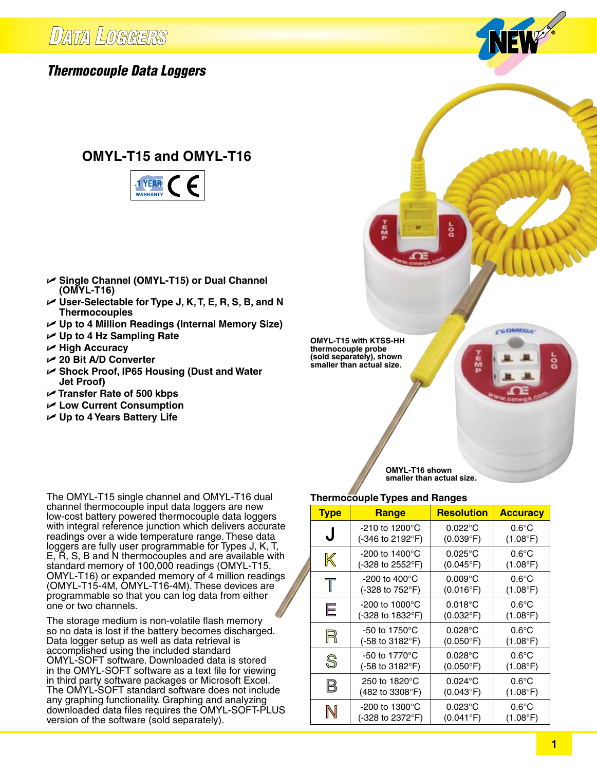

## **OMYL-T15 and OMYL-T16**



- U **Single Channel (OMYL-T15) or Dual Channel (OMYL-T16)**
- U **User-Selectable for Type J, K, T, E, R, S, B, and N Thermocouples**
- U **Up to 4 Million Readings (Internal Memory Size)**
- U **Up to 4 Hz Sampling Rate**
- U **High Accuracy**
- U **20 Bit A/D Converter**
- U **Shock Proof, IP65 Housing (Dust and Water Jet Proof)**
- U **Transfer Rate of 500 kbps**
- U **Low Current Consumption**
- U **Up to 4 Years Battery Life**

The OMYL-T15 single channel and OMYL-T16 dual channel thermocouple input data loggers are new low-cost battery powered thermocouple data loggers with integral reference junction which delivers accurate readings over a wide temperature range. These data loggers are fully user programmable for Types J, K, T, E,  $\breve{R}$ , S, B and N thermocouples and are available with standard memory of 100,000 readings (OMYL-T15, OMYL-T16) or expanded memory of 4 million readings (OMYL-T15-4M, OMYL-T16-4M). These devices are programmable so that you can log data from either one or two channels.

The storage medium is non-volatile flash memory<br>
so no data is lost if the battery becomes discharged so no data is lost if the battery becomes discharged. Data logger setup as well as data retrieval is accomplished using the included standard OMYL-SOFT software. Downloaded data is stored in the OMYL-SOFT software as a text file for viewing in third party software packages or Microsoft Excel. The OMYL-SOFT standard software does not include **DAM**<br>any graphing functionality. Graphing and analyzing any graphing functionality. Graphing and analyzing downloaded data files requires the OMYL-SOFT-PLUS version of the software (sold separately).<br> **Waship** 

**OMYL-T15 with KTSS-HH thermocouple probe (sold separately), shown smaller than actual size.**

> **OMYL-T16 shown smaller than actual size.**

CHOMEGA

င္က

### **Thermocouple Types and Ranges**

| <b>Type</b>                                 | <b>Range</b>                                    | <b>Resolution</b>                       | <b>Accuracy</b>                      |
|---------------------------------------------|-------------------------------------------------|-----------------------------------------|--------------------------------------|
| J                                           | $-210$ to $1200^{\circ}$ C<br>(-346 to 2192°F)  | $0.022^{\circ}$ C<br>$(0.039^{\circ}F)$ | $0.6^{\circ}$ C<br>(1.08°F)          |
| K                                           | $-200$ to 1400 $^{\circ}$ C<br>(-328 to 2552°F) | $0.025^{\circ}$ C<br>$(0.045^{\circ}F)$ | $0.6^{\circ}$ C<br>(1.08°F)          |
| $\top$                                      | $-200$ to $400^{\circ}$ C<br>(-328 to 752°F)    | $0.009$ °C<br>$(0.016^{\circ}F)$        | $0.6^{\circ}$ C<br>(1.08°F)          |
| Е                                           | $-200$ to 1000 $^{\circ}$ C<br>(-328 to 1832°F) | $0.018$ °C<br>$(0.032^{\circ}F)$        | $0.6^{\circ}$ C<br>(1.08°F)          |
| R                                           | $-50$ to 1750 $^{\circ}$ C<br>(-58 to 3182°F)   | $0.028$ °C<br>$(0.050^{\circ}F)$        | $0.6^{\circ}$ C<br>$(1.08^{\circ}F)$ |
| $\mathbb{S}% _{M_{1},M_{2}}^{\alpha,\beta}$ | $-50$ to 1770 $^{\circ}$ C<br>(-58 to 3182°F)   | $0.028$ °C<br>$(0.050^{\circ}F)$        | $0.6^{\circ}$ C<br>(1.08°F)          |
| $\boxtimes$                                 | 250 to 1820°C<br>(482 to 3308°F)                | $0.024$ °C<br>$(0.043^{\circ}F)$        | $0.6^{\circ}$ C<br>$(1.08^{\circ}F)$ |
| $\mathbb N$                                 | $-200$ to 1300 $^{\circ}$ C<br>(-328 to 2372°F) | $0.023$ °C<br>$(0.041^{\circ}F)$        | $0.6^{\circ}$ C<br>$(1.08^{\circ}F)$ |